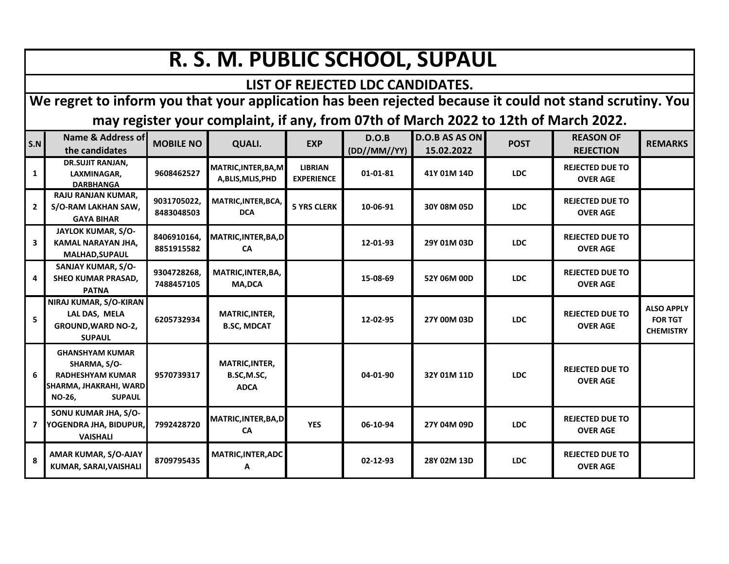## **R. S. M. PUBLIC SCHOOL, SUPAUL**

## **LIST OF REJECTED LDC CANDIDATES.**

**We regret to inform you that your application has been rejected because it could not stand scrutiny. You may register your complaint, if any, from 07th of March 2022 to 12th of March 2022.**

| S.N            | Name & Address of<br>the candidates                                                                                           | <b>MOBILE NO</b>          | QUALI.                                             | <b>EXP</b>                          | D.O.B<br>(DD//MM//YY) | <b>D.O.B AS AS ON</b><br>15.02.2022 | <b>POST</b> | <b>REASON OF</b><br><b>REJECTION</b>      | <b>REMARKS</b>                                          |
|----------------|-------------------------------------------------------------------------------------------------------------------------------|---------------------------|----------------------------------------------------|-------------------------------------|-----------------------|-------------------------------------|-------------|-------------------------------------------|---------------------------------------------------------|
| 1              | <b>DR.SUJIT RANJAN,</b><br>LAXMINAGAR,<br><b>DARBHANGA</b>                                                                    | 9608462527                | MATRIC, INTER, BA, M<br>A, BLIS, MLIS, PHD         | <b>LIBRIAN</b><br><b>EXPERIENCE</b> | 01-01-81              | 41Y 01M 14D                         | <b>LDC</b>  | <b>REJECTED DUE TO</b><br><b>OVER AGE</b> |                                                         |
| $\overline{2}$ | RAJU RANJAN KUMAR,<br>S/O-RAM LAKHAN SAW,<br><b>GAYA BIHAR</b>                                                                | 9031705022,<br>8483048503 | MATRIC, INTER, BCA,<br><b>DCA</b>                  | <b>5 YRS CLERK</b>                  | 10-06-91              | 30Y 08M 05D                         | <b>LDC</b>  | <b>REJECTED DUE TO</b><br><b>OVER AGE</b> |                                                         |
| 3              | JAYLOK KUMAR, S/O-<br>KAMAL NARAYAN JHA,<br><b>MALHAD, SUPAUL</b>                                                             | 8406910164.<br>8851915582 | MATRIC, INTER, BA, D<br><b>CA</b>                  |                                     | 12-01-93              | 29Y 01M 03D                         | <b>LDC</b>  | <b>REJECTED DUE TO</b><br><b>OVER AGE</b> |                                                         |
| 4              | SANJAY KUMAR, S/O-<br><b>SHEO KUMAR PRASAD,</b><br><b>PATNA</b>                                                               | 9304728268,<br>7488457105 | MATRIC, INTER, BA,<br><b>MA,DCA</b>                |                                     | 15-08-69              | 52Y 06M 00D                         | <b>LDC</b>  | <b>REJECTED DUE TO</b><br><b>OVER AGE</b> |                                                         |
| 5              | NIRAJ KUMAR, S/O-KIRAN<br>LAL DAS, MELA<br><b>GROUND, WARD NO-2,</b><br><b>SUPAUL</b>                                         | 6205732934                | MATRIC, INTER,<br><b>B.SC, MDCAT</b>               |                                     | 12-02-95              | 27Y 00M 03D                         | <b>LDC</b>  | <b>REJECTED DUE TO</b><br><b>OVER AGE</b> | <b>ALSO APPLY</b><br><b>FOR TGT</b><br><b>CHEMISTRY</b> |
| 6              | <b>GHANSHYAM KUMAR</b><br>SHARMA, S/O-<br><b>RADHESHYAM KUMAR</b><br>SHARMA, JHAKRAHI, WARD<br><b>NO-26,</b><br><b>SUPAUL</b> | 9570739317                | <b>MATRIC, INTER,</b><br>B.SC,M.SC,<br><b>ADCA</b> |                                     | 04-01-90              | 32Y 01M 11D                         | <b>LDC</b>  | <b>REJECTED DUE TO</b><br><b>OVER AGE</b> |                                                         |
| 7              | SONU KUMAR JHA, S/O-<br>YOGENDRA JHA, BIDUPUR,<br><b>VAISHALI</b>                                                             | 7992428720                | MATRIC, INTER, BA, D<br><b>CA</b>                  | <b>YES</b>                          | 06-10-94              | 27Y 04M 09D                         | <b>LDC</b>  | <b>REJECTED DUE TO</b><br><b>OVER AGE</b> |                                                         |
| 8              | AMAR KUMAR, S/O-AJAY<br>KUMAR, SARAI, VAISHALI                                                                                | 8709795435                | MATRIC, INTER, ADC<br>A                            |                                     | 02-12-93              | 28Y 02M 13D                         | <b>LDC</b>  | <b>REJECTED DUE TO</b><br><b>OVER AGE</b> |                                                         |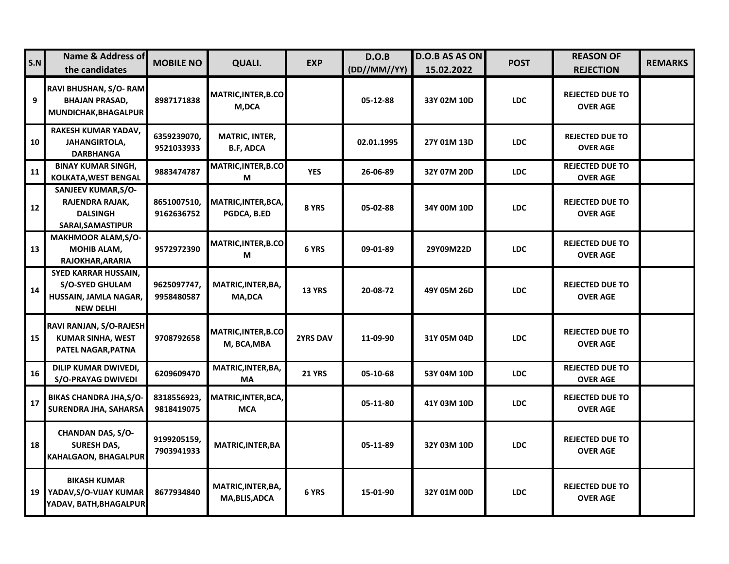| S.N | Name & Address of<br>the candidates                                                                | <b>MOBILE NO</b>          | <b>QUALI.</b>                             | <b>EXP</b>      | D.O.B<br>(DD//MM//YY) | D.O.B AS AS ON<br>15.02.2022 | <b>POST</b> | <b>REASON OF</b><br><b>REJECTION</b>      | <b>REMARKS</b> |
|-----|----------------------------------------------------------------------------------------------------|---------------------------|-------------------------------------------|-----------------|-----------------------|------------------------------|-------------|-------------------------------------------|----------------|
| 9   | RAVI BHUSHAN, S/O-RAM<br><b>BHAJAN PRASAD,</b><br>MUNDICHAK, BHAGALPUR                             | 8987171838                | <b>MATRIC, INTER, B.CO</b><br>M,DCA       |                 | 05-12-88              | 33Y 02M 10D                  | <b>LDC</b>  | <b>REJECTED DUE TO</b><br><b>OVER AGE</b> |                |
| 10  | RAKESH KUMAR YADAV,<br>JAHANGIRTOLA,<br>DARBHANGA                                                  | 6359239070,<br>9521033933 | <b>MATRIC, INTER,</b><br><b>B.F, ADCA</b> |                 | 02.01.1995            | 27Y 01M 13D                  | <b>LDC</b>  | <b>REJECTED DUE TO</b><br><b>OVER AGE</b> |                |
| 11  | <b>BINAY KUMAR SINGH,</b><br><b>KOLKATA, WEST BENGAL</b>                                           | 9883474787                | MATRIC, INTER, B.CO<br>М                  | <b>YES</b>      | 26-06-89              | 32Y 07M 20D                  | <b>LDC</b>  | <b>REJECTED DUE TO</b><br><b>OVER AGE</b> |                |
| 12  | SANJEEV KUMAR, S/O-<br>RAJENDRA RAJAK,<br><b>DALSINGH</b><br>SARAI, SAMASTIPUR                     | 8651007510,<br>9162636752 | MATRIC, INTER, BCA,<br>PGDCA, B.ED        | 8 YRS           | 05-02-88              | 34Y 00M 10D                  | <b>LDC</b>  | <b>REJECTED DUE TO</b><br><b>OVER AGE</b> |                |
| 13  | <b>MAKHMOOR ALAM, S/O-</b><br>MOHIB ALAM,<br>RAJOKHAR, ARARIA                                      | 9572972390                | MATRIC, INTER, B.CO<br>М                  | 6 YRS           | 09-01-89              | 29Y09M22D                    | <b>LDC</b>  | <b>REJECTED DUE TO</b><br><b>OVER AGE</b> |                |
| 14  | <b>SYED KARRAR HUSSAIN,</b><br><b>S/O-SYED GHULAM</b><br>HUSSAIN, JAMLA NAGAR,<br><b>NEW DELHI</b> | 9625097747,<br>9958480587 | MATRIC, INTER, BA,<br><b>MA,DCA</b>       | <b>13 YRS</b>   | 20-08-72              | 49Y 05M 26D                  | <b>LDC</b>  | <b>REJECTED DUE TO</b><br><b>OVER AGE</b> |                |
| 15  | RAVI RANJAN, S/O-RAJESH<br>KUMAR SINHA, WEST<br>PATEL NAGAR, PATNA                                 | 9708792658                | <b>MATRIC,INTER,B.CO</b><br>M, BCA, MBA   | <b>2YRS DAV</b> | 11-09-90              | 31Y 05M 04D                  | <b>LDC</b>  | <b>REJECTED DUE TO</b><br><b>OVER AGE</b> |                |
| 16  | DILIP KUMAR DWIVEDI,<br><b>S/O-PRAYAG DWIVEDI</b>                                                  | 6209609470                | MATRIC, INTER, BA,<br>MA                  | <b>21 YRS</b>   | 05-10-68              | 53Y 04M 10D                  | <b>LDC</b>  | <b>REJECTED DUE TO</b><br><b>OVER AGE</b> |                |
| 17  | <b>BIKAS CHANDRA JHA, S/O-</b><br>SURENDRA JHA, SAHARSA                                            | 8318556923,<br>9818419075 | MATRIC, INTER, BCA,<br><b>MCA</b>         |                 | 05-11-80              | 41Y 03M 10D                  | <b>LDC</b>  | <b>REJECTED DUE TO</b><br><b>OVER AGE</b> |                |
| 18  | <b>CHANDAN DAS, S/O-</b><br><b>SURESH DAS,</b><br>KAHALGAON, BHAGALPUR                             | 9199205159,<br>7903941933 | MATRIC, INTER, BA                         |                 | 05-11-89              | 32Y 03M 10D                  | <b>LDC</b>  | <b>REJECTED DUE TO</b><br><b>OVER AGE</b> |                |
| 19  | <b>BIKASH KUMAR</b><br>YADAV, S/O-VIJAY KUMAR<br>YADAV, BATH, BHAGALPUR                            | 8677934840                | MATRIC, INTER, BA,<br>MA, BLIS, ADCA      | 6 YRS           | 15-01-90              | 32Y 01M 00D                  | <b>LDC</b>  | <b>REJECTED DUE TO</b><br><b>OVER AGE</b> |                |